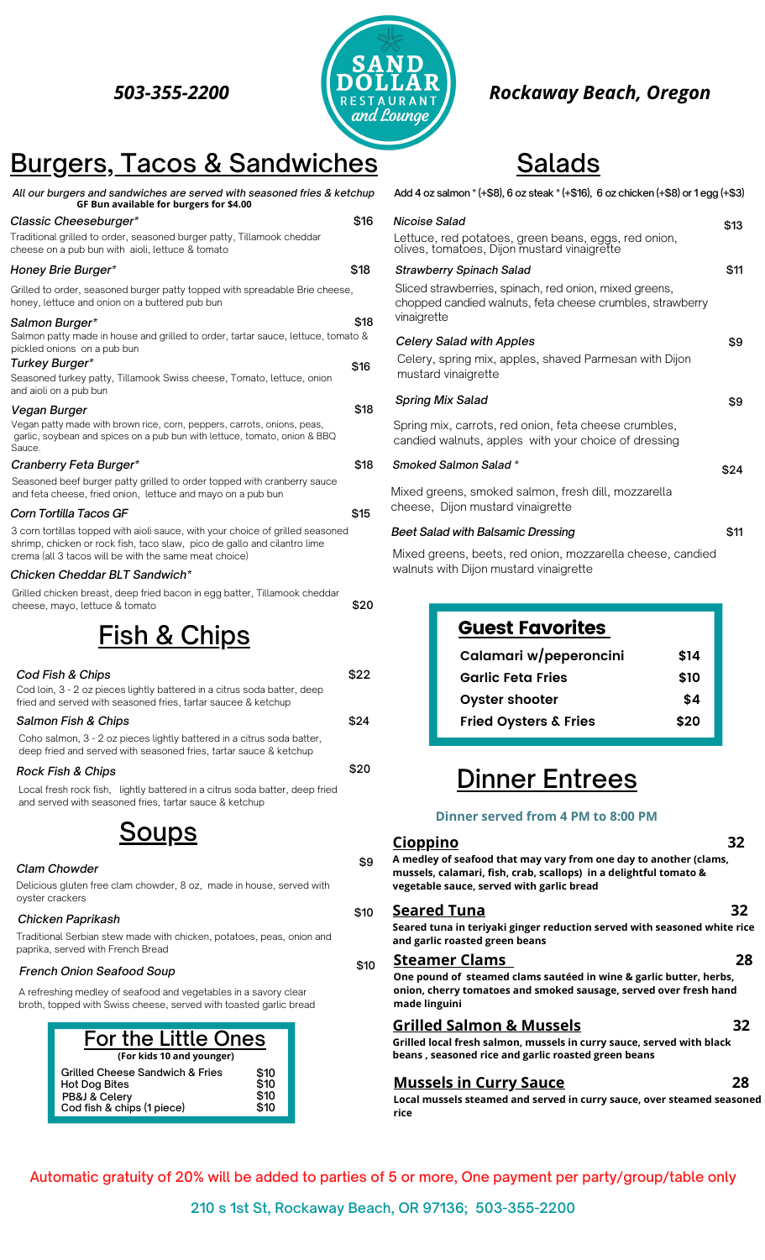

## *503-355-2200 Rockaway Beach, Oregon*

## Burgers, Tacos & Sandwiches

| All our burgers and sandwiches are served with seasoned fries & ketchup<br>GF Bun available for burgers for \$4.00                                                                                                  |      |
|---------------------------------------------------------------------------------------------------------------------------------------------------------------------------------------------------------------------|------|
| Classic Cheeseburger*                                                                                                                                                                                               | \$16 |
| Traditional grilled to order, seasoned burger patty, Tillamook cheddar<br>cheese on a pub bun with aioli, lettuce & tomato                                                                                          |      |
| Honey Brie Burger*                                                                                                                                                                                                  | \$18 |
| Grilled to order, seasoned burger patty topped with spreadable Brie cheese,<br>honey, lettuce and onion on a buttered pub bun                                                                                       |      |
| Salmon Burger*<br>Salmon patty made in house and grilled to order, tartar sauce, lettuce, tomato &                                                                                                                  | \$18 |
| pickled onions on a pub bun                                                                                                                                                                                         |      |
| Turkey Burger*<br>Seasoned turkey patty, Tillamook Swiss cheese, Tomato, lettuce, onion<br>and aioli on a pub bun                                                                                                   | \$16 |
| Vegan Burger                                                                                                                                                                                                        | \$18 |
| Vegan patty made with brown rice, corn, peppers, carrots, onions, peas,<br>garlic, soybean and spices on a pub bun with lettuce, tomato, onion & BBQ<br>Sauce.                                                      |      |
| Cranberry Feta Burger*                                                                                                                                                                                              | \$18 |
| Seasoned beef burger patty grilled to order topped with cranberry sauce<br>and feta cheese, fried onion, lettuce and mayo on a pub bun                                                                              |      |
| Corn Tortilla Tacos GF                                                                                                                                                                                              | \$15 |
| 3 corn tortillas topped with aioli sauce, with your choice of grilled seasoned<br>shrimp, chicken or rock fish, taco slaw, pico de gallo and cilantro lime<br>crema (all 3 tacos will be with the same meat choice) |      |
| Chicken Cheddar BLT Sandwich*                                                                                                                                                                                       |      |
| Grilled chicken breast, deep fried bacon in egg batter, Tillamook cheddar<br>cheese, mayo, lettuce & tomato                                                                                                         | \$20 |
| <u>Fish &amp; Chips</u>                                                                                                                                                                                             |      |
| Cod Fish & Chips                                                                                                                                                                                                    | \$22 |
| Cod loin, 3 - 2 oz pieces lightly battered in a citrus soda batter, deep<br>fried and served with seasoned fries, tartar saucee & ketchup                                                                           |      |
| Salmon Fish & Chips                                                                                                                                                                                                 | \$24 |
| Coho salmon, 3 - 2 oz pieces lightly battered in a citrus soda batter,<br>deep fried and served with seasoned fries, tartar sauce & ketchup                                                                         |      |
| <b>Rock Fish &amp; Chips</b>                                                                                                                                                                                        | \$20 |
| Local fresh rock fish, lightly battered in a citrus soda batter, deep fried<br>and served with seasoned fries, tartar sauce & ketchup                                                                               |      |

<u>Soups</u>

#### *Clam Chowder*

Delicious gluten free clam chowder, 8 oz, made in house, served with oyster crackers

#### *Chicken Paprikash*

Traditional Serbian stew made with chicken, potatoes, peas, onion and paprika, served with French Bread

#### *French Onion Seafood Soup*

A refreshing medley of seafood and vegetables in a savory clear broth, topped with Swiss cheese, served with toasted garlic bread

| <b>For the Little Ones</b>                                                                             |                                          |
|--------------------------------------------------------------------------------------------------------|------------------------------------------|
| (For kids 10 and younger)                                                                              |                                          |
| Grilled Cheese Sandwich & Fries<br><b>Hot Dog Bites</b><br>PB&J & Celery<br>Cod fish & chips (1 piece) | \$10<br>$\overline{$}10$<br>\$10<br>\$10 |

| Add 4 oz salmon * (+\$8), 6 oz steak * (+\$16), 6 oz chicken (+\$8) or 1 egg (+\$3) |                                                                                                                                                                       |      |
|-------------------------------------------------------------------------------------|-----------------------------------------------------------------------------------------------------------------------------------------------------------------------|------|
|                                                                                     | Nicoise Salad<br>Lettuce, red potatoes, green beans, eggs, red onion,<br>olives, tomatoes, Dijon mustard vinaigrette                                                  | \$13 |
|                                                                                     | <b>Strawberry Spinach Salad</b><br>Sliced strawberries, spinach, red onion, mixed greens,<br>chopped candied walnuts, feta cheese crumbles, strawberry<br>vinaigrette | \$11 |
|                                                                                     | <b>Celery Salad with Apples</b><br>Celery, spring mix, apples, shaved Parmesan with Dijon<br>mustard vinaigrette                                                      | \$9  |
|                                                                                     | <b>Spring Mix Salad</b><br>Spring mix, carrots, red onion, feta cheese crumbles,                                                                                      | \$9  |
|                                                                                     | candied walnuts, apples with your choice of dressing<br>Smoked Salmon Salad *                                                                                         | \$24 |
|                                                                                     | Mixed greens, smoked salmon, fresh dill, mozzarella<br>cheese, Dijon mustard vinaigrette                                                                              |      |
|                                                                                     | Beet Salad with Balsamic Dressing                                                                                                                                     | \$11 |

Salads

#### *Beet Salad with Balsamic Dressing*

Mixed greens, beets, red onion, mozzarella cheese, candied walnuts with Dijon mustard vinaigrette

| <b>Guest Favorites</b>           |      |
|----------------------------------|------|
| Calamari w/peperoncini           | \$14 |
| <b>Garlic Feta Fries</b>         | \$10 |
| <b>Oyster shooter</b>            | \$4  |
| <b>Fried Oysters &amp; Fries</b> | \$20 |

## Dinner Entrees

#### **Dinner served from 4 PM to 8:00 PM**

#### **Cioppino 32**

\$9

\$10

**A medley of seafood that may vary from one day to another (clams, mussels, calamari, fish, crab, scallops) in a delightful tomato & vegetable sauce, served with garlic bread**

### **Seared Tuna 32**

**Seared tuna in teriyaki ginger reduction served with seasoned white rice and garlic roasted green beans**

#### \$10 **Steamer Clams 28**

**One pound of steamed clams sautéed in wine & garlic butter, herbs, onion, cherry tomatoes and smoked sausage, served over fresh hand made linguini**

### **Grilled Salmon & Mussels 32**

**Grilled local fresh salmon, mussels in curry sauce, served with black beans , seasoned rice and garlic roasted green beans** 

### **Mussels in Curry Sauce 28**

**Local mussels steamed and served in curry sauce, over steamed seasoned rice**

Automatic gratuity of 20% will be added to parties of 5 or more, One payment per party/group/table only

210 s 1st St, Rockaway Beach, OR 97136; 503-355-2200

- -